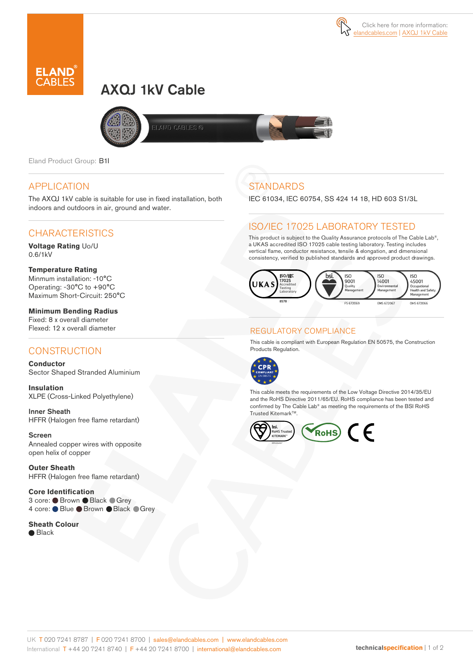# AXQJ 1kV Cable



**LAND CABLES ®** 

Eland Product Group: B1I

#### APPLICATION

The AXQJ 1kV cable is suitable for use in fixed installation, both indoors and outdoors in air, ground and water.

#### CHARACTERISTICS

**Voltage Rating** Uo/U 0.6/1kV

**Temperature Rating** Minmum installation: -10°C Operating: -30°C to +90°C Maximum Short-Circuit: 250°C

**Minimum Bending Radius**  Fixed: 8 x overall diameter Flexed: 12 x overall diameter

#### **CONSTRUCTION**

**Conductor** Sector Shaped Stranded Aluminium

**Insulation** XLPE (Cross-Linked Polyethylene)

Inner Sheath HFFR (Halogen free flame retardant)

Screen Annealed copper wires with opposite open helix of copper

**Outer Sheath** HFFR (Halogen free flame retardant)

**Core Identification**  3 core: ● Brown ● Black ● Grey 4 core: Blue ● Brown ● Black ● Grey

**Sheath Colour**  ● Black

## **STANDARDS**

IEC 61034, IEC 60754, SS 424 14 18, HD 603 S1/3L

### ISO/IEC 17025 LABORATORY TESTED

This product is subject to the Quality Assurance protocols of The Cable Lab®, a UKAS accredited ISO 17025 cable testing laboratory. Testing includes vertical flame, conductor resistance, tensile & elongation, and dimensional consistency, verified to published standards and approved product drawings.



#### REGULATORY COMPLIANCE

This cable is compliant with European Regulation EN 50575, the Construction Products Regulation.



This cable meets the requirements of the Low Voltage Directive 2014/35/EU and the RoHS Directive 2011/65/EU. RoHS compliance has been tested and confirmed by The Cable Lab® as meeting the requirements of the BSI RoHS Trusted Kitemark™.